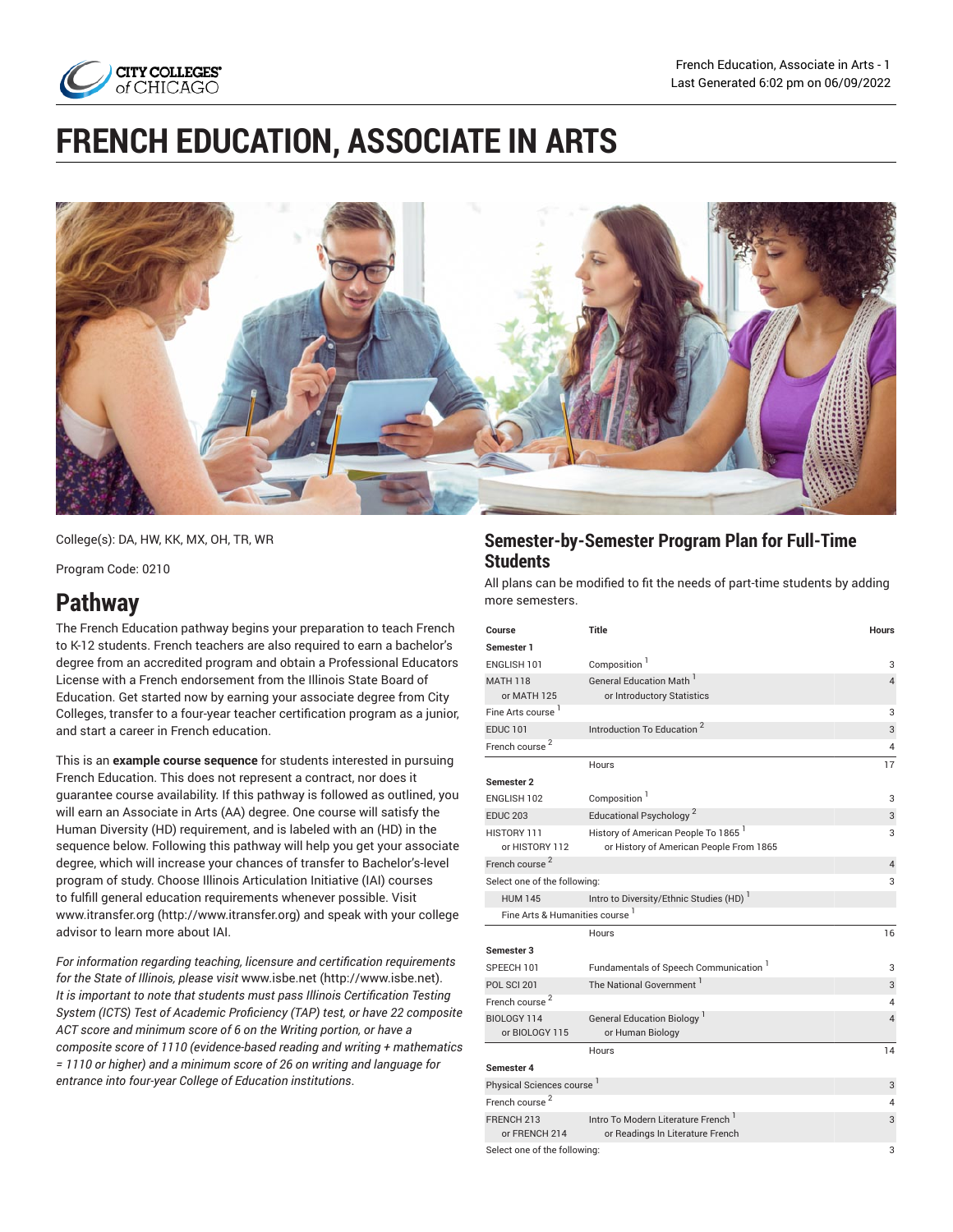

# **FRENCH EDUCATION, ASSOCIATE IN ARTS**



College(s): DA, HW, KK, MX, OH, TR, WR

Program Code: 0210

# **Pathway**

The French Education pathway begins your preparation to teach French to K-12 students. French teachers are also required to earn a bachelor's degree from an accredited program and obtain a Professional Educators License with a French endorsement from the Illinois State Board of Education. Get started now by earning your associate degree from City Colleges, transfer to a four-year teacher certification program as a junior, and start a career in French education.

This is an **example course sequence** for students interested in pursuing French Education. This does not represent a contract, nor does it guarantee course availability. If this pathway is followed as outlined, you will earn an Associate in Arts (AA) degree. One course will satisfy the Human Diversity (HD) requirement, and is labeled with an (HD) in the sequence below. Following this pathway will help you get your associate degree, which will increase your chances of transfer to Bachelor's-level program of study. Choose Illinois Articulation Initiative (IAI) courses to fulfill general education requirements whenever possible. Visit [www.itransfer.org](http://www.itransfer.org) (<http://www.itransfer.org>) and speak with your college advisor to learn more about IAI.

*For information regarding teaching, licensure and certification requirements for the State of Illinois, please visit* [www.isbe.net \(http://www.isbe.net\)](http://www.isbe.net). *It is important to note that students must pass Illinois Certification Testing System (ICTS) Test of Academic Proficiency (TAP) test, or have 22 composite ACT score and minimum score of 6 on the Writing portion, or have a composite score of 1110 (evidence-based reading and writing + mathematics = 1110 or higher) and a minimum score of 26 on writing and language for entrance into four-year College of Education institutions*.

## **Semester-by-Semester Program Plan for Full-Time Students**

All plans can be modified to fit the needs of part-time students by adding more semesters.

| Course                          | Title                                                                 | <b>Hours</b>   |
|---------------------------------|-----------------------------------------------------------------------|----------------|
| Semester 1                      |                                                                       |                |
| ENGLISH 101                     | Composition <sup>1</sup>                                              | 3              |
| <b>MATH 118</b><br>or MATH 125  | General Education Math <sup>1</sup><br>or Introductory Statistics     | $\overline{4}$ |
| Fine Arts course <sup>1</sup>   |                                                                       | 3              |
| <b>EDUC 101</b>                 | Introduction To Education <sup>2</sup>                                | 3              |
| French course <sup>2</sup>      |                                                                       | 4              |
|                                 | Hours                                                                 | 17             |
| Semester 2                      |                                                                       |                |
| ENGLISH 102                     | Composition <sup>1</sup>                                              | 3              |
| <b>EDUC 203</b>                 | Educational Psychology <sup>2</sup>                                   | 3              |
| HISTORY 111                     | History of American People To 1865 <sup>1</sup>                       | 3              |
| or HISTORY 112                  | or History of American People From 1865                               |                |
| French course <sup>2</sup>      |                                                                       | $\overline{4}$ |
| Select one of the following:    |                                                                       | 3              |
| <b>HUM 145</b>                  | Intro to Diversity/Ethnic Studies (HD) <sup>1</sup>                   |                |
| Fine Arts & Humanities course 1 |                                                                       |                |
|                                 | Hours                                                                 | 16             |
| Semester 3                      |                                                                       |                |
| SPEECH 101                      | Fundamentals of Speech Communication                                  | 3              |
| <b>POL SCI 201</b>              | The National Government <sup>1</sup>                                  | 3              |
| French course <sup>2</sup>      |                                                                       | 4              |
| BIOLOGY 114                     | <b>General Education Biology</b>                                      | $\overline{4}$ |
| or BIOLOGY 115                  | or Human Biology                                                      |                |
|                                 | Hours                                                                 | 14             |
| Semester 4                      |                                                                       |                |
| Physical Sciences course        |                                                                       | 3              |
| French course <sup>2</sup>      |                                                                       | 4              |
| FRENCH 213<br>or FRENCH 214     | Intro To Modern Literature French<br>or Readings In Literature French | 3              |
| Select one of the following:    |                                                                       |                |